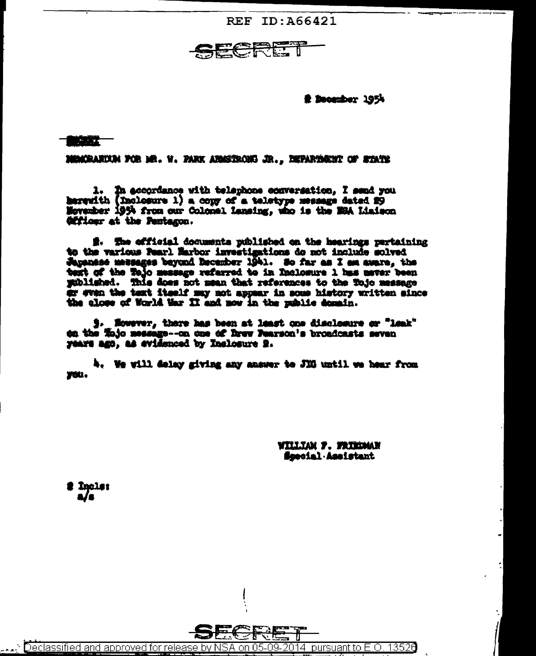**REF ID: A66421** 

SECRE

**# December 1954** 

<u>in Art</u>

MINCRATION FOR NR. Y. PARK ARISTRONG JR., INFARTNINT OF STATS

1. In accordance with telephone conversation, I send you harryith (Inclosure 1) a copy of a teletype message dated 29 Movember 1954 from our Colonel Lansing, who is the MSA Liaison **Officer** at the Pentagon.

2. The cfficial documents published on the hearings partaining to the various Pearl Harbor investigations do not include solved Japanese messages beyond December 1941. So far as I am aware, the text of the Tojo message referred to in Inclosure 1 has mever been mublished. This does not mean that references to the Tojo message er even the text itself may not appear in some history written since the alose of World War II and now in the public domain.

j. Mowever, there has been at least one disclessre or "leak" on the Tojo message--on one of Brew Pearson's broadcasts seven years ago, as evidenced by Inclosure 2.

4. We will delay giving any answer to JID until we hear from ysu.

5

…… Declassified and approved for release by NSA on 05-09-2014 pursuant to E.O. 13526

WILLIAM F. FRIEDMAN Special Assistant

**# Incls:** a/s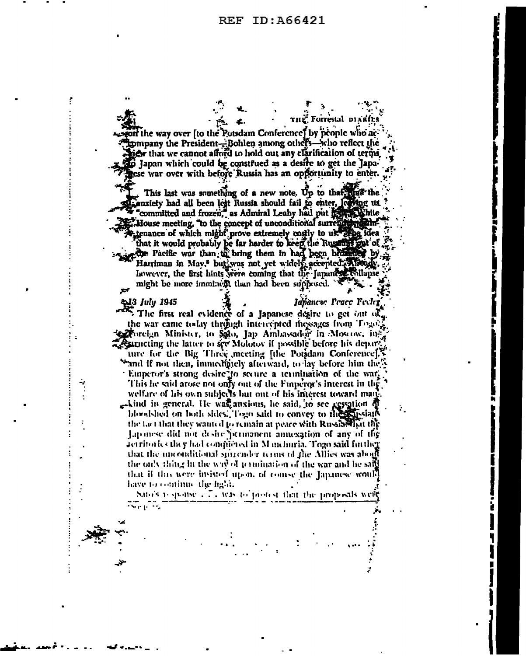**REF ID:A66421** 

Forrestal nia the way over [to the Potsdam Conference] by people who acsompany the President—Bohlen among others—who reflect the is that we cannot afford to hold out any clarification of terms. so Japan which could be construed as a desire to get the Japacese war over with before Russia has an opportunity to enter. This last was something of a new note. Up to that hind the enxiety had all been lest Russia should fail to enter, lesting us committed and frozen." as Admiral Leahy had put the White House meeting, "to the concept of unconditional surrenders and g idea tenance of which might prove extremely costly to us. The that it would probably be far harder to keep the Russian gat of the Pacific war than to bring them in had been browned by ... Harriman in May,<sup>5</sup> but was not yet widely accepted; Alrendy, however, the first hints were coming that the Japanese collapse might be more imminent than had been supposed. لكة July 1945 Japanese Peace Feeley The first real evidence of a Japanese desire to get out of the war came today through intercepted messages from Togoly, **A**oreign Minister, to Sato, Jap Ambassador in Moscow, in-Surface the latter to see Molotov if possible before his depart ture for the Big Three meeting [the Potsdam Conference]. and if not then, immediately afterward, to lay before him the " . Emperor's strong desire to secure a termination of the war. This he said arose not only out of the Finperor's interest in the welfare of his own subjects but out of his interest toward may. skind in general. He was anxious, he said, to see cessation of bloodshed on both sides. Togo said to convey to the supsiate the lact that they wanted to remain at peace with Russia. That the Japanese did not desire permanent annexation of any of the Territories they had conquered in Manchuria. Togo said further that the unconditional surrender terms of the Allies was about the only thing in the way of termination of the war and he said that if this were invisted upon, of course the Japanese would have to continue the fight. Sato's response 1.71 was to protest that the proposals were **See point**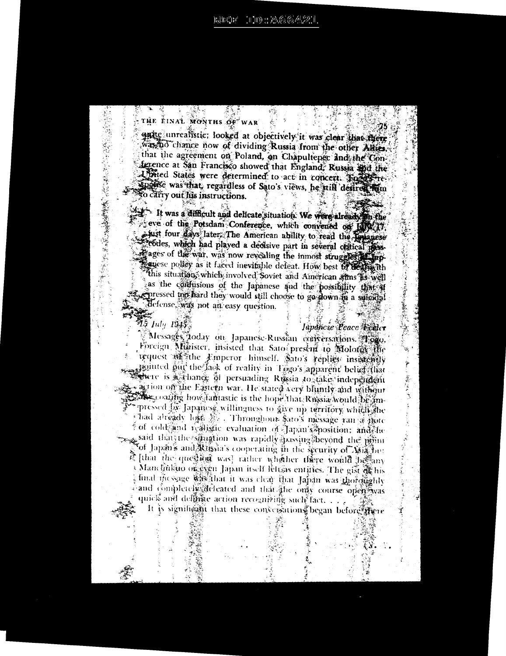quite unrealistic; looked at objectively it was clear that there washo chance now of dividing Russia from the other Allies. that the agreement on Poland, on Chapulteper and the Conderence at San Francisco showed that England, Russia and the A pried States were determined to act in concert. To the spoise was that, regardless of Sato's views, he trill desired for to carry out his instructions.

£Ä,

THE EINAL MONTHS OF WAR

It was a difficult and delicate situation. We were already in the seve of the Potsdam Conference, which convened on Indonesia stust four days later. The American ability to read the languages codes, which had played a decisive part in several ordical profrages of the war, was now revealing the inmost struggles and sucse policy as it faced inevitable defeat. How best to description this situations which involved Soviet and American arms as well as the confusions of the Japanese and the possibility that of cypressed to hard they would still choose to go down in a suitaidal defense, was not an easy question.

15 Iuly 1945 :

ڏو

# Japáncse Peace Feeter

"我们做吧。

Â.

۳

ž.

Š

Messages doday on Japanese-Russian conversations. Accou-Foreign Marister, insisted that Sato present to Moloton the request strike Emperor himself. Sato's replies insistently pointed phil the lack of reality in Togo's apparent belief that

Stere is Latinance of persuading Russia to take independent - action off the Eastern war. He stated very blundy and without s the coalitie how famastic is the hope that Russia would be impressed by Japanese willingness to give up terrifory which she thad already lose  $\gg$  . Throughous §ato's message ran a pote f of cold and realistic evaluation of Japan's position; and the said that the solugtion was rapidly hassing beyond the prim of Japan's and Ritisha's cooperating in the security of Air het de [that the questing was] rather whether there would he any Manchukuo orgeven Japan uself left as entities. The gist de his g final message was that it was clear that Japan was thoroughly a and completely deleated and that the only course open was quick and deline action recognizing such fact. . / .

It is significant that these conversations began before from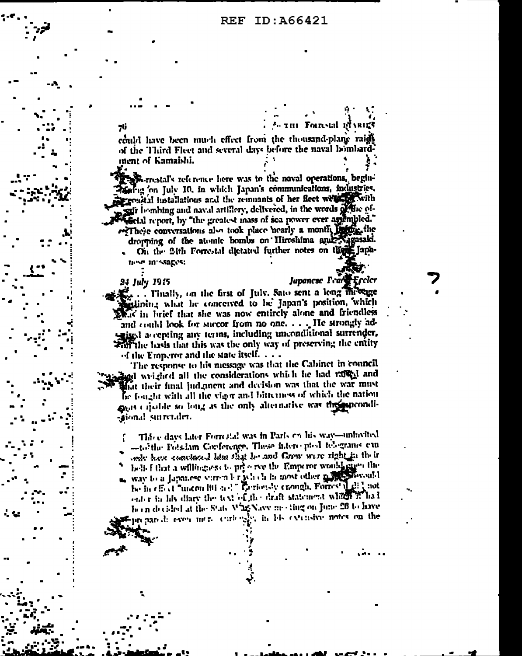# **REF ID:A66421**

76

Formstal privates

could have been much effect from the thousand-plane raids of the Third Fleet and several days before the naval bombardment of Kamaishi.

softe rrestal's reference here was to the naval operations, begintinfug on July 10, in which Japan's communications, industries, reconstal installations and the remnants of her fleet weiter with gur hombing and naval artillery, delivered, in the words of the of-Seial report, by "the greatest mass of sea power ever assembled." reThese conversations also took place hearly a month later the dropping of the atomic bombs on Hiroshima and Agensaki. On the 24th Forrestal dictated further notes on these Japa-

וריאר וח יאסביל:

## 24 July 1915

# Jupanese Prace Escler

to . . . Tinally, on the first of July. Sato sent a long moving rdining what he conceived to be Japan's position, which that in brief that she was now entirely alone and friendless and could look for succor from no one. . . . He strongly adsised accepting any terms, including unconditional surrender, Tart the basis that this was the only way of preserving the entity of the Emperor and the state itself. . . .

The response to his message was that the Cabinet in council and weighed all the considerations which he had rated and hat their final judgment and decision was that the war must be fought with all the vigor and bitterness of which the nation Quis criable so long as the only alternative was the pareonali--sional surrender.

This e-days later Formstal was in Parts on his way-unfavited -tolthe Folsdam Conference. These interespired telegrants can and have concluded lam that he and Grew were right in their bellef that a willingness to preserve the Emperor would given the way to a Japanese vursua lergelich in most other respectivemal. be in effect "uncon litt and" Certously enough, Forrest Left and onter in his diary the text of the draft statement which it had been decided at the State VDENavy meeting on June 26 to have

prepared: even mer, curiensly, in his extensive notes on the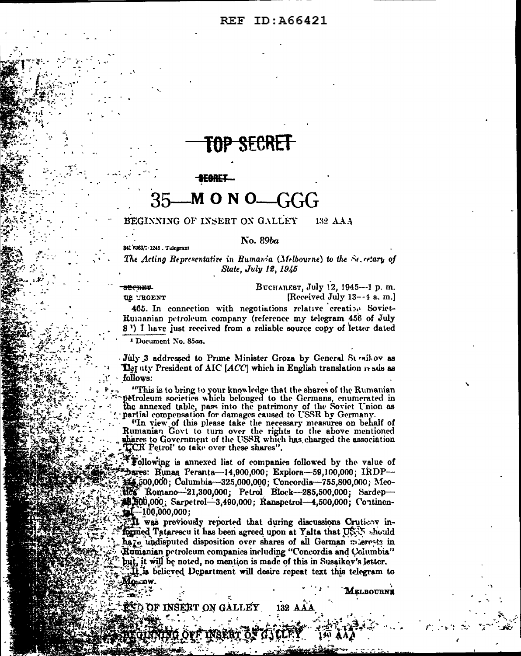# <del>SECRE</del>1

## early

# $M$  O N O  $\leftarrow$  GGG

#### BEGINNING OF INSERT ON GALLEY 132 AAA

## No. 89ba

840'5363/7-1245 . Telegram

The Acting Representative in Rumania (Melbourne) to the Secretary of State, July 12, 1945

s<del>tenx</del>a UE URGENT BUCHAREST, July 12, 1945-1 p.m. [Received July 13--1 a.m.]

465. In connection with negotiations relative creation Soviet-Rumanian petroleum company (reference my telegram 456 of July 8<sup>1</sup>) I have just received from a reliable source copy of letter dated

<sup>1</sup> Document No. 85aa.

July 3 addressed to Prime Minister Groza by General Straikov as Det utv President of AIC [ACC] which in English translation reads as follows:

"This is to bring to your knowledge that the shares of the Rumanian petroleum societies which belonged to the Germans, enumerated in the annexed table, pass into the patrimony of the Soviet Union as partial compensation for damages caused to USSR by Germany.

"In view of this please take the necessary measures on behalf of Rumanian Govt to turn over the rights to the above mentioned shares to Government of the USSR which has charged the association **LCR** Petrol' to take over these shares".

Dollowing is annexed list of companies followed by the value of Dares: Bunas Peranta-14,900,000, Explora-59,100,000; IRDP-新闻500,000; Columbia—325,000,000; Concordia—755,800,000; Meotics Romano-21,300,000; Petrol Block--285,500,000; Sardep-\$5,00,000; Sarpetrol-3,490,000; Ranspetrol-4,500,000; Continen- $100,000,000;$ 

The was previously reported that during discussions Cruticov informed Tatarescu it has been agreed upon at Yalta that USS. should have undisputed disposition over shares of all German microsts in Rumanian petroleum companies including "Concordia and Columbia" but, it will be noted, no mention is made of this in Susaikov's letter.

It is believed Department will desire repeat text this telegram to Morcow.

MELBOURNE

OF INSERT ON GALLEY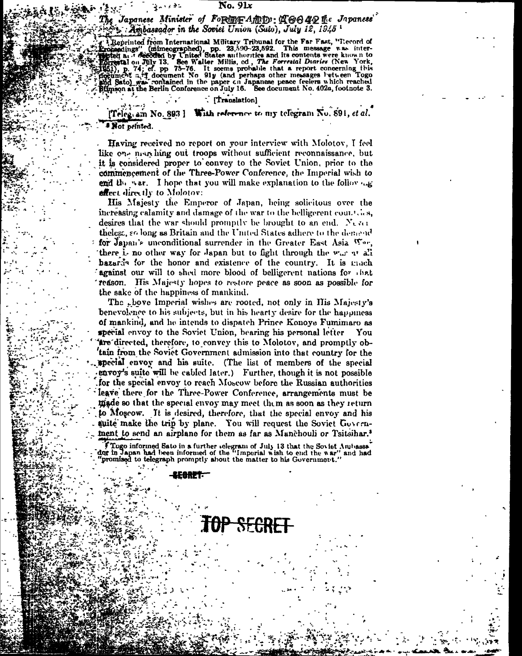## No. 91x

## Japanese Minister of Foreww Ampy: AGG4Q Lc Japanese Ambassador in the Soviet Union (Suto), July 12, 1945<sup>1</sup>

Reprinted from International Military Tribunal for the Far Fast, "Record of examples" (military pp. 23,590-23,592. This message was inter-<br>ted at a different of United States authorities and its contents were known to<br>res  $\lim_{x\to 0}$ . (a)  $\lim_{x\to 0}$  document No 91y (and perhaps other messages between Togo 3.57 document No 91y (and perhaps other messages between Togo 3.57 document No 91y (and perhaps other messages between Togo

### [Translation]

With reference to my telegram No. 891, et al. [Teleg am No. 893] Not printed.

Having received no report on your interview with Molotov, I feel like one men hing out troops without sufficient reconnaissance, but it is considered proper to convey to the Soviet Union, prior to the commencement of the Three-Power Conference, the Imperial wish to end the var. I hope that you will make explanation to the following *effect directly to Molotov:* 

His Majesty the Emperor of Japan, being solicitous over the increasing calamity and damage of the war to the belligerent countries, desires that the war should promptly be brought to an end. Never theless, so long as Britain and the United States adhere to the demend for Japan's unconditional surrender in the Greater East Asia Wor, there i. no other way for Japan but to fight through the war at all bazurda for the honor and existence of the country. It is much against our will to shed more blood of belligerent nations for that reason. His Majesty hopes to restore peace as soon as possible for the sake of the happiness of mankind.

The bove Imperial wishes are rooted, not only in His Majesty's benevolence to his subjects, but in his hearty desire for the happiness of mankind, and he intends to dispatch Prince Konoye Fumimaro as special envoy to the Soviet Union, bearing his personal letter You are directed, therefore, to convey this to Molotov, and promptly ob-'tain from the Soviet Government admission into that country for the special envoy and his suite. (The list of members of the special envoy's suite will be cabled later.) Further, though it is not possible for the special envoy to reach Moscow before the Russian authorities leave there for the Three-Power Conference, arrangements must be made so that the special envoy may meet them as soon as they return to Mogcow. It is desired, therefore, that the special envoy and his guite make the trip by plane. You will request the Soviet Government to send an airplane for them as far as Manchouli or Tsitsihar.<sup>3</sup>

These informed Sato in a further telegram of July 13 that the Soviet Arubases<br>dor in Japan had been informed of the "Imperial wish to end the war" and had and had to telegraph promptly about the matter to his Government."